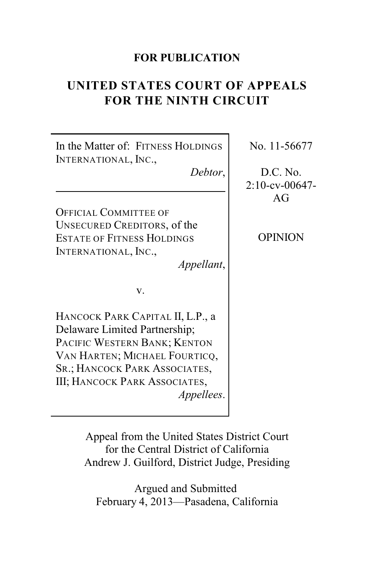### **FOR PUBLICATION**

# **UNITED STATES COURT OF APPEALS FOR THE NINTH CIRCUIT**

| In the Matter of: FITNESS HOLDINGS<br>INTERNATIONAL, INC.,                                                                                                                                                                       | No. 11-56677                        |
|----------------------------------------------------------------------------------------------------------------------------------------------------------------------------------------------------------------------------------|-------------------------------------|
| Debtor,                                                                                                                                                                                                                          | D.C. No.<br>$2:10$ -cv-00647-<br>AG |
| <b>OFFICIAL COMMITTEE OF</b>                                                                                                                                                                                                     |                                     |
| UNSECURED CREDITORS, of the<br><b>ESTATE OF FITNESS HOLDINGS</b><br>INTERNATIONAL, INC.,<br>Appellant,                                                                                                                           | OPINION                             |
| v.                                                                                                                                                                                                                               |                                     |
| HANCOCK PARK CAPITAL II, L.P., a<br>Delaware Limited Partnership;<br>PACIFIC WESTERN BANK; KENTON<br>VAN HARTEN; MICHAEL FOURTICQ,<br>SR.; HANCOCK PARK ASSOCIATES,<br><b>III; HANCOCK PARK ASSOCIATES,</b><br><i>Appellees.</i> |                                     |

Appeal from the United States District Court for the Central District of California Andrew J. Guilford, District Judge, Presiding

Argued and Submitted February 4, 2013—Pasadena, California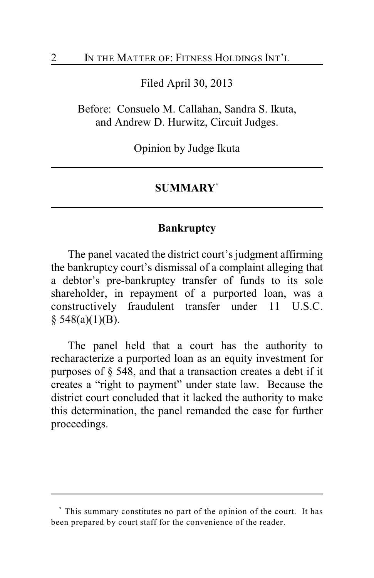Filed April 30, 2013

Before: Consuelo M. Callahan, Sandra S. Ikuta, and Andrew D. Hurwitz, Circuit Judges.

Opinion by Judge Ikuta

### **SUMMARY \***

#### **Bankruptcy**

The panel vacated the district court's judgment affirming the bankruptcy court's dismissal of a complaint alleging that a debtor's pre-bankruptcy transfer of funds to its sole shareholder, in repayment of a purported loan, was a constructively fraudulent transfer under 11 U.S.C.  $§$  548(a)(1)(B).

The panel held that a court has the authority to recharacterize a purported loan as an equity investment for purposes of § 548, and that a transaction creates a debt if it creates a "right to payment" under state law. Because the district court concluded that it lacked the authority to make this determination, the panel remanded the case for further proceedings.

This summary constitutes no part of the opinion of the court. It has **\*** been prepared by court staff for the convenience of the reader.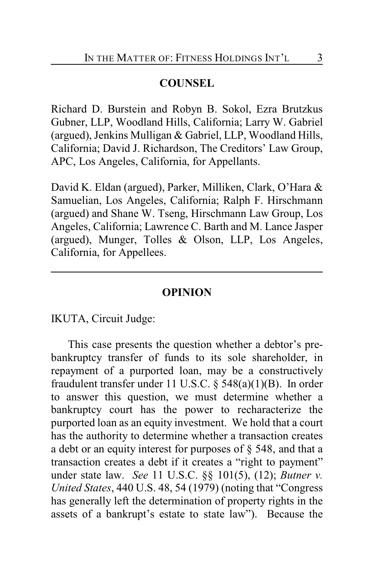### **COUNSEL**

Richard D. Burstein and Robyn B. Sokol, Ezra Brutzkus Gubner, LLP, Woodland Hills, California; Larry W. Gabriel (argued), Jenkins Mulligan & Gabriel, LLP, Woodland Hills, California; David J. Richardson, The Creditors' Law Group, APC, Los Angeles, California, for Appellants.

David K. Eldan (argued), Parker, Milliken, Clark, O'Hara & Samuelian, Los Angeles, California; Ralph F. Hirschmann (argued) and Shane W. Tseng, Hirschmann Law Group, Los Angeles, California; Lawrence C. Barth and M. Lance Jasper (argued), Munger, Tolles & Olson, LLP, Los Angeles, California, for Appellees.

#### **OPINION**

IKUTA, Circuit Judge:

This case presents the question whether a debtor's prebankruptcy transfer of funds to its sole shareholder, in repayment of a purported loan, may be a constructively fraudulent transfer under 11 U.S.C. § 548(a)(1)(B). In order to answer this question, we must determine whether a bankruptcy court has the power to recharacterize the purported loan as an equity investment. We hold that a court has the authority to determine whether a transaction creates a debt or an equity interest for purposes of § 548, and that a transaction creates a debt if it creates a "right to payment" under state law. *See* 11 U.S.C. §§ 101(5), (12); *Butner v. United States*, 440 U.S. 48, 54 (1979) (noting that "Congress has generally left the determination of property rights in the assets of a bankrupt's estate to state law"). Because the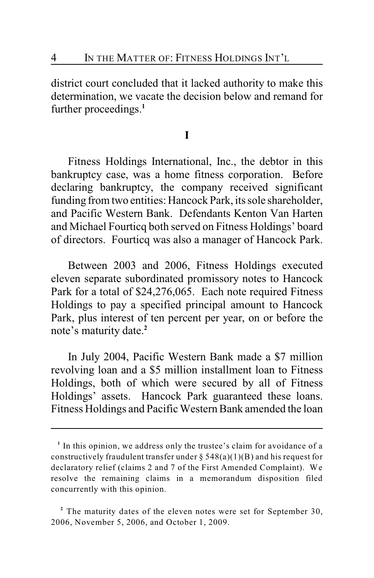district court concluded that it lacked authority to make this determination, we vacate the decision below and remand for further proceedings.**<sup>1</sup>**

#### **I**

Fitness Holdings International, Inc., the debtor in this bankruptcy case, was a home fitness corporation. Before declaring bankruptcy, the company received significant funding from two entities: Hancock Park, its sole shareholder, and Pacific Western Bank. Defendants Kenton Van Harten and Michael Fourticq both served on Fitness Holdings' board of directors. Fourticq was also a manager of Hancock Park.

Between 2003 and 2006, Fitness Holdings executed eleven separate subordinated promissory notes to Hancock Park for a total of \$24,276,065. Each note required Fitness Holdings to pay a specified principal amount to Hancock Park, plus interest of ten percent per year, on or before the note's maturity date.**<sup>2</sup>**

In July 2004, Pacific Western Bank made a \$7 million revolving loan and a \$5 million installment loan to Fitness Holdings, both of which were secured by all of Fitness Holdings' assets. Hancock Park guaranteed these loans. Fitness Holdings and Pacific Western Bank amended the loan

<sup>&</sup>lt;sup>1</sup> In this opinion, we address only the trustee's claim for avoidance of a constructively fraudulent transfer under  $\S$  548(a)(1)(B) and his request for declaratory relief (claims 2 and 7 of the First Amended Complaint). We resolve the remaining claims in a memorandum disposition filed concurrently with this opinion.

<sup>&</sup>lt;sup>2</sup> The maturity dates of the eleven notes were set for September 30, 2006, November 5, 2006, and October 1, 2009.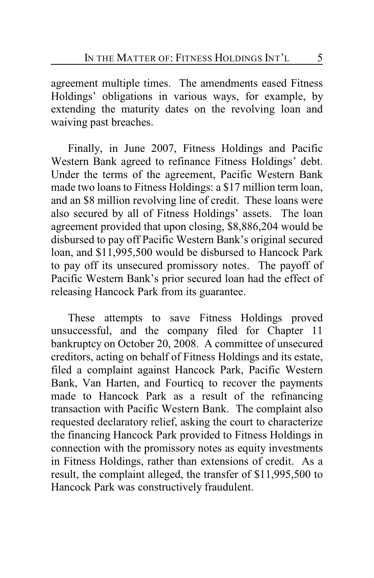agreement multiple times. The amendments eased Fitness Holdings' obligations in various ways, for example, by extending the maturity dates on the revolving loan and waiving past breaches.

Finally, in June 2007, Fitness Holdings and Pacific Western Bank agreed to refinance Fitness Holdings' debt. Under the terms of the agreement, Pacific Western Bank made two loans to Fitness Holdings: a \$17 million term loan, and an \$8 million revolving line of credit. These loans were also secured by all of Fitness Holdings' assets. The loan agreement provided that upon closing, \$8,886,204 would be disbursed to pay off Pacific Western Bank's original secured loan, and \$11,995,500 would be disbursed to Hancock Park to pay off its unsecured promissory notes. The payoff of Pacific Western Bank's prior secured loan had the effect of releasing Hancock Park from its guarantee.

These attempts to save Fitness Holdings proved unsuccessful, and the company filed for Chapter 11 bankruptcy on October 20, 2008. A committee of unsecured creditors, acting on behalf of Fitness Holdings and its estate, filed a complaint against Hancock Park, Pacific Western Bank, Van Harten, and Fourticq to recover the payments made to Hancock Park as a result of the refinancing transaction with Pacific Western Bank. The complaint also requested declaratory relief, asking the court to characterize the financing Hancock Park provided to Fitness Holdings in connection with the promissory notes as equity investments in Fitness Holdings, rather than extensions of credit. As a result, the complaint alleged, the transfer of \$11,995,500 to Hancock Park was constructively fraudulent.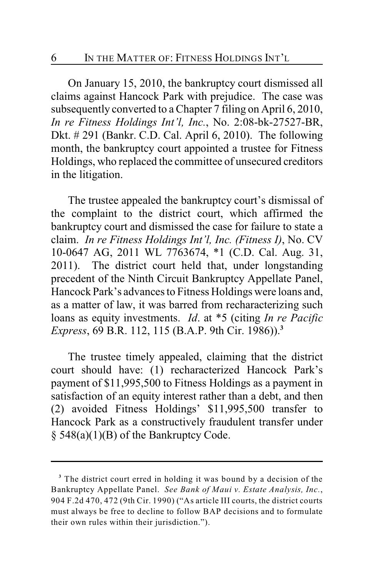On January 15, 2010, the bankruptcy court dismissed all claims against Hancock Park with prejudice. The case was subsequently converted to a Chapter 7 filing on April 6, 2010, *In re Fitness Holdings Int'l, Inc.*, No. 2:08-bk-27527-BR, Dkt. # 291 (Bankr. C.D. Cal. April 6, 2010). The following month, the bankruptcy court appointed a trustee for Fitness Holdings, who replaced the committee of unsecured creditors in the litigation.

The trustee appealed the bankruptcy court's dismissal of the complaint to the district court, which affirmed the bankruptcy court and dismissed the case for failure to state a claim. *In re Fitness Holdings Int'l, Inc. (Fitness I)*, No. CV 10-0647 AG, 2011 WL 7763674, \*1 (C.D. Cal. Aug. 31, 2011). The district court held that, under longstanding precedent of the Ninth Circuit Bankruptcy Appellate Panel, Hancock Park's advances to Fitness Holdings were loans and, as a matter of law, it was barred from recharacterizing such loans as equity investments. *Id*. at \*5 (citing *In re Pacific Express*, 69 B.R. 112, 115 (B.A.P. 9th Cir. 1986)). **3**

The trustee timely appealed, claiming that the district court should have: (1) recharacterized Hancock Park's payment of \$11,995,500 to Fitness Holdings as a payment in satisfaction of an equity interest rather than a debt, and then (2) avoided Fitness Holdings' \$11,995,500 transfer to Hancock Park as a constructively fraudulent transfer under § 548(a)(1)(B) of the Bankruptcy Code.

<sup>&</sup>lt;sup>3</sup> The district court erred in holding it was bound by a decision of the Bankruptcy Appellate Panel. *See Bank of Maui v. Estate Analysis, Inc.*, 904 F.2d 470, 472 (9th Cir. 1990) ("As article III courts, the district courts must always be free to decline to follow BAP decisions and to formulate their own rules within their jurisdiction.").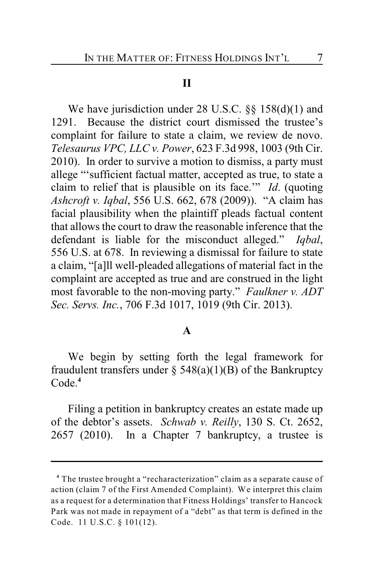#### **II**

We have jurisdiction under 28 U.S.C. §§ 158(d)(1) and 1291. Because the district court dismissed the trustee's complaint for failure to state a claim, we review de novo. *Telesaurus VPC, LLC v. Power*, 623 F.3d 998, 1003 (9th Cir. 2010). In order to survive a motion to dismiss, a party must allege "'sufficient factual matter, accepted as true, to state a claim to relief that is plausible on its face.'" *Id*. (quoting *Ashcroft v. Iqbal*, 556 U.S. 662, 678 (2009)). "A claim has facial plausibility when the plaintiff pleads factual content that allows the court to draw the reasonable inference that the defendant is liable for the misconduct alleged." *Iqbal*, 556 U.S. at 678. In reviewing a dismissal for failure to state a claim, "[a]ll well-pleaded allegations of material fact in the complaint are accepted as true and are construed in the light most favorable to the non-moving party." *Faulkner v. ADT Sec. Servs. Inc.*, 706 F.3d 1017, 1019 (9th Cir. 2013).

#### **A**

We begin by setting forth the legal framework for fraudulent transfers under  $\S$  548(a)(1)(B) of the Bankruptcy Code.**<sup>4</sup>**

Filing a petition in bankruptcy creates an estate made up of the debtor's assets. *Schwab v. Reilly*, 130 S. Ct. 2652, 2657 (2010). In a Chapter 7 bankruptcy, a trustee is

The trustee brought a "recharacterization" claim as a separate cause of **<sup>4</sup>** action (claim 7 of the First Amended Complaint). We interpret this claim as a request for a determination that Fitness Holdings' transfer to Hancock Park was not made in repayment of a "debt" as that term is defined in the Code. 11 U.S.C. § 101(12).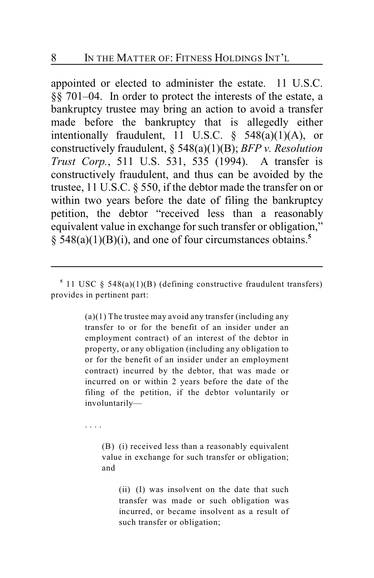appointed or elected to administer the estate. 11 U.S.C. §§ 701–04. In order to protect the interests of the estate, a bankruptcy trustee may bring an action to avoid a transfer made before the bankruptcy that is allegedly either intentionally fraudulent, 11 U.S.C.  $\frac{1}{2}$  548(a)(1)(A), or constructively fraudulent, § 548(a)(1)(B); *BFP v. Resolution Trust Corp.*, 511 U.S. 531, 535 (1994). A transfer is constructively fraudulent, and thus can be avoided by the trustee, 11 U.S.C. § 550, if the debtor made the transfer on or within two years before the date of filing the bankruptcy petition, the debtor "received less than a reasonably equivalent value in exchange for such transfer or obligation," § 548(a)(1)(B)(i), and one of four circumstances obtains. **5**

 $(a)(1)$  The trustee may avoid any transfer (including any transfer to or for the benefit of an insider under an employment contract) of an interest of the debtor in property, or any obligation (including any obligation to or for the benefit of an insider under an employment contract) incurred by the debtor, that was made or incurred on or within 2 years before the date of the filing of the petition, if the debtor voluntarily or involuntarily—

. . . .

(B) (i) received less than a reasonably equivalent value in exchange for such transfer or obligation; and

(ii) (I) was insolvent on the date that such transfer was made or such obligation was incurred, or became insolvent as a result of such transfer or obligation;

<sup>&</sup>lt;sup>5</sup> 11 USC  $\S$  548(a)(1)(B) (defining constructive fraudulent transfers) provides in pertinent part: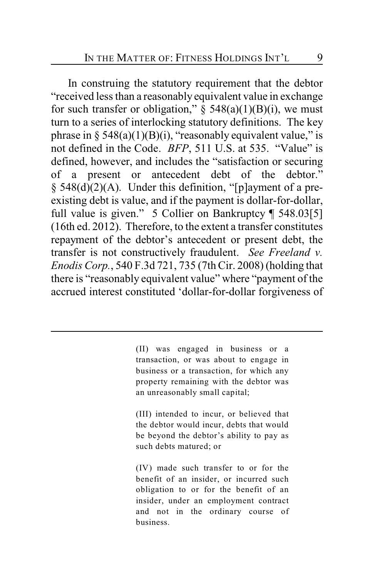In construing the statutory requirement that the debtor "received lessthan a reasonably equivalent value in exchange for such transfer or obligation,"  $\S$  548(a)(1)(B)(i), we must turn to a series of interlocking statutory definitions. The key phrase in  $\S 548(a)(1)(B)(i)$ , "reasonably equivalent value," is not defined in the Code. *BFP*, 511 U.S. at 535. "Value" is defined, however, and includes the "satisfaction or securing of a present or antecedent debt of the debtor." § 548(d)(2)(A). Under this definition, "[p]ayment of a preexisting debt is value, and if the payment is dollar-for-dollar, full value is given." 5 Collier on Bankruptcy ¶ 548.03[5] (16th ed. 2012). Therefore, to the extent a transfer constitutes repayment of the debtor's antecedent or present debt, the transfer is not constructively fraudulent. *See Freeland v. Enodis Corp.*, 540 F.3d 721, 735 (7th Cir. 2008) (holding that there is "reasonably equivalent value" where "payment of the accrued interest constituted 'dollar-for-dollar forgiveness of

> (II) was engaged in business or a transaction, or was about to engage in business or a transaction, for which any property remaining with the debtor was an unreasonably small capital;

> (III) intended to incur, or believed that the debtor would incur, debts that would be beyond the debtor's ability to pay as such debts matured; or

> (IV) made such transfer to or for the benefit of an insider, or incurred such obligation to or for the benefit of an insider, under an employment contract and not in the ordinary course of business.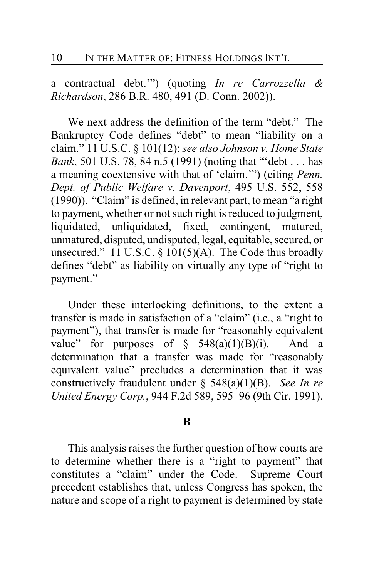a contractual debt.'") (quoting *In re Carrozzella & Richardson*, 286 B.R. 480, 491 (D. Conn. 2002)).

We next address the definition of the term "debt." The Bankruptcy Code defines "debt" to mean "liability on a claim." 11 U.S.C. § 101(12); *see also Johnson v. Home State Bank*, 501 U.S. 78, 84 n.5 (1991) (noting that "'debt . . . has a meaning coextensive with that of 'claim.'") (citing *Penn. Dept. of Public Welfare v. Davenport*, 495 U.S. 552, 558 (1990)). "Claim" is defined, in relevant part, to mean "a right to payment, whether or not such right is reduced to judgment, liquidated, unliquidated, fixed, contingent, matured, unmatured, disputed, undisputed, legal, equitable, secured, or unsecured." 11 U.S.C.  $\S$  101(5)(A). The Code thus broadly defines "debt" as liability on virtually any type of "right to payment."

Under these interlocking definitions, to the extent a transfer is made in satisfaction of a "claim" (i.e., a "right to payment"), that transfer is made for "reasonably equivalent value" for purposes of  $\S$  548(a)(1)(B)(i). And a determination that a transfer was made for "reasonably equivalent value" precludes a determination that it was constructively fraudulent under § 548(a)(1)(B). *See In re United Energy Corp.*, 944 F.2d 589, 595–96 (9th Cir. 1991).

#### **B**

This analysis raises the further question of how courts are to determine whether there is a "right to payment" that constitutes a "claim" under the Code. Supreme Court precedent establishes that, unless Congress has spoken, the nature and scope of a right to payment is determined by state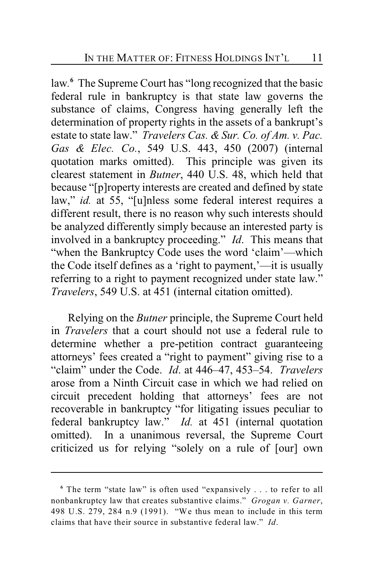law.<sup>6</sup> The Supreme Court has "long recognized that the basic federal rule in bankruptcy is that state law governs the substance of claims, Congress having generally left the determination of property rights in the assets of a bankrupt's estate to state law." *Travelers Cas. & Sur. Co. of Am. v. Pac. Gas & Elec. Co.*, 549 U.S. 443, 450 (2007) (internal quotation marks omitted). This principle was given its clearest statement in *Butner*, 440 U.S. 48, which held that because "[p]roperty interests are created and defined by state law," *id.* at 55, "[u]nless some federal interest requires a different result, there is no reason why such interests should be analyzed differently simply because an interested party is involved in a bankruptcy proceeding." *Id*. This means that "when the Bankruptcy Code uses the word 'claim'—which the Code itself defines as a 'right to payment,'—it is usually referring to a right to payment recognized under state law." *Travelers*, 549 U.S. at 451 (internal citation omitted).

Relying on the *Butner* principle, the Supreme Court held in *Travelers* that a court should not use a federal rule to determine whether a pre-petition contract guaranteeing attorneys' fees created a "right to payment" giving rise to a "claim" under the Code. *Id*. at 446–47, 453–54. *Travelers* arose from a Ninth Circuit case in which we had relied on circuit precedent holding that attorneys' fees are not recoverable in bankruptcy "for litigating issues peculiar to federal bankruptcy law." *Id.* at 451 (internal quotation omitted).In a unanimous reversal, the Supreme Court criticized us for relying "solely on a rule of [our] own

<sup>&</sup>lt;sup>6</sup> The term "state law" is often used "expansively . . . to refer to all nonbankruptcy law that creates substantive claims." *Grogan v. Garner*, 498 U.S. 279, 284 n.9 (1991). "We thus mean to include in this term claims that have their source in substantive federal law." *Id*.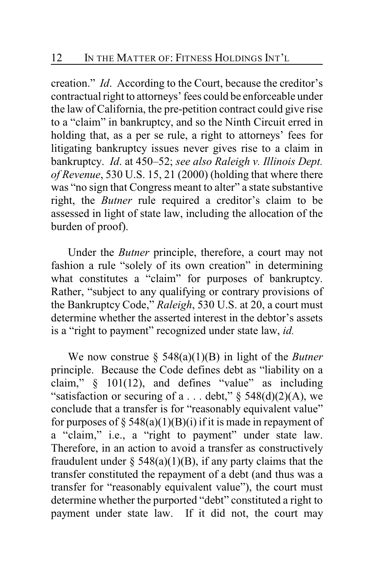creation." *Id*. According to the Court, because the creditor's contractual right to attorneys' fees could be enforceable under the law of California, the pre-petition contract could give rise to a "claim" in bankruptcy, and so the Ninth Circuit erred in holding that, as a per se rule, a right to attorneys' fees for litigating bankruptcy issues never gives rise to a claim in bankruptcy. *Id*. at 450–52; *see also Raleigh v. Illinois Dept. of Revenue*, 530 U.S. 15, 21 (2000) (holding that where there was "no sign that Congress meant to alter" a state substantive right, the *Butner* rule required a creditor's claim to be assessed in light of state law, including the allocation of the burden of proof).

Under the *Butner* principle, therefore, a court may not fashion a rule "solely of its own creation" in determining what constitutes a "claim" for purposes of bankruptcy. Rather, "subject to any qualifying or contrary provisions of the Bankruptcy Code," *Raleigh*, 530 U.S. at 20, a court must determine whether the asserted interest in the debtor's assets is a "right to payment" recognized under state law, *id.*

We now construe § 548(a)(1)(B) in light of the *Butner* principle. Because the Code defines debt as "liability on a claim," § 101(12), and defines "value" as including "satisfaction or securing of a ... debt,"  $\S$  548(d)(2)(A), we conclude that a transfer is for "reasonably equivalent value" for purposes of  $\S$  548(a)(1)(B)(i) if it is made in repayment of a "claim," i.e., a "right to payment" under state law. Therefore, in an action to avoid a transfer as constructively fraudulent under  $\S$  548(a)(1)(B), if any party claims that the transfer constituted the repayment of a debt (and thus was a transfer for "reasonably equivalent value"), the court must determine whether the purported "debt" constituted a right to payment under state law. If it did not, the court may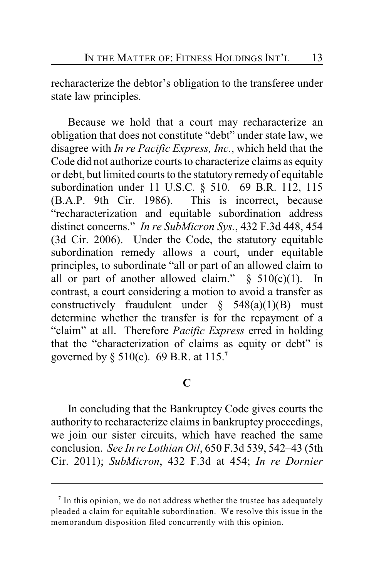recharacterize the debtor's obligation to the transferee under state law principles.

Because we hold that a court may recharacterize an obligation that does not constitute "debt" under state law, we disagree with *In re Pacific Express, Inc.*, which held that the Code did not authorize courts to characterize claims as equity or debt, but limited courts to the statutory remedy of equitable subordination under 11 U.S.C. § 510. 69 B.R. 112, 115 (B.A.P. 9th Cir. 1986). This is incorrect, because "recharacterization and equitable subordination address distinct concerns." *In re SubMicron Sys.*, 432 F.3d 448, 454 (3d Cir. 2006). Under the Code, the statutory equitable subordination remedy allows a court, under equitable principles, to subordinate "all or part of an allowed claim to all or part of another allowed claim."  $§ 510(c)(1)$ . In contrast, a court considering a motion to avoid a transfer as constructively fraudulent under  $\S$  548(a)(1)(B) must determine whether the transfer is for the repayment of a "claim" at all. Therefore *Pacific Express* erred in holding that the "characterization of claims as equity or debt" is governed by § 510(c). 69 B.R. at 115.**<sup>7</sup>**

## **C**

In concluding that the Bankruptcy Code gives courts the authority to recharacterize claims in bankruptcy proceedings, we join our sister circuits, which have reached the same conclusion. *See In re Lothian Oil*, 650 F.3d 539, 542–43 (5th Cir. 2011); *SubMicron*, 432 F.3d at 454; *In re Dornier*

<sup>&</sup>lt;sup>7</sup> In this opinion, we do not address whether the trustee has adequately pleaded a claim for equitable subordination. We resolve this issue in the memorandum disposition filed concurrently with this opinion.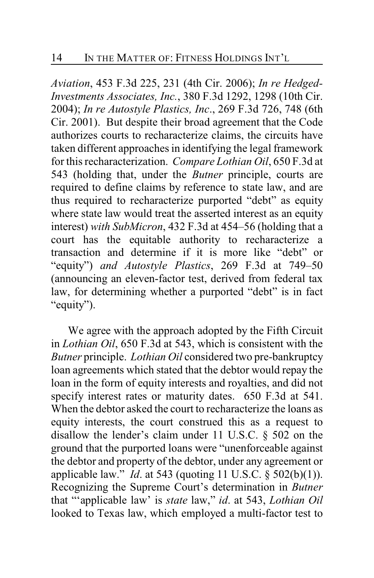*Aviation*, 453 F.3d 225, 231 (4th Cir. 2006); *In re Hedged-Investments Associates, Inc.*, 380 F.3d 1292, 1298 (10th Cir. 2004); *In re Autostyle Plastics, Inc*., 269 F.3d 726, 748 (6th Cir. 2001). But despite their broad agreement that the Code authorizes courts to recharacterize claims, the circuits have taken different approaches in identifying the legal framework for this recharacterization. *Compare Lothian Oil*, 650 F.3d at 543 (holding that, under the *Butner* principle, courts are required to define claims by reference to state law, and are thus required to recharacterize purported "debt" as equity where state law would treat the asserted interest as an equity interest) *with SubMicron*, 432 F.3d at 454–56 (holding that a court has the equitable authority to recharacterize a transaction and determine if it is more like "debt" or "equity") *and Autostyle Plastics*, 269 F.3d at 749–50 (announcing an eleven-factor test, derived from federal tax law, for determining whether a purported "debt" is in fact "equity").

We agree with the approach adopted by the Fifth Circuit in *Lothian Oil*, 650 F.3d at 543, which is consistent with the *Butner* principle. *Lothian Oil* considered two pre-bankruptcy loan agreements which stated that the debtor would repay the loan in the form of equity interests and royalties, and did not specify interest rates or maturity dates. 650 F.3d at 541. When the debtor asked the court to recharacterize the loans as equity interests, the court construed this as a request to disallow the lender's claim under 11 U.S.C. § 502 on the ground that the purported loans were "unenforceable against the debtor and property of the debtor, under any agreement or applicable law." *Id*. at 543 (quoting 11 U.S.C. § 502(b)(1)). Recognizing the Supreme Court's determination in *Butner* that "'applicable law' is *state* law," *id*. at 543, *Lothian Oil* looked to Texas law, which employed a multi-factor test to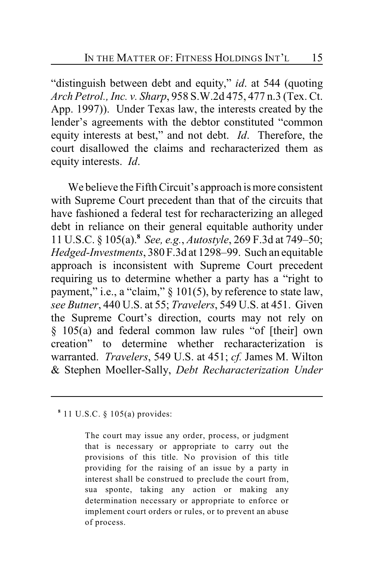"distinguish between debt and equity," *id*. at 544 (quoting *Arch Petrol., Inc. v. Sharp*, 958 S.W.2d 475, 477 n.3 (Tex. Ct. App. 1997)). Under Texas law, the interests created by the lender's agreements with the debtor constituted "common equity interests at best," and not debt. *Id*. Therefore, the court disallowed the claims and recharacterized them as equity interests. *Id*.

We believe the Fifth Circuit's approach is more consistent with Supreme Court precedent than that of the circuits that have fashioned a federal test for recharacterizing an alleged debt in reliance on their general equitable authority under 11 U.S.C. § 105(a). *See, e.g.*, *Autostyle*, 269 F.3d at 749–50; **<sup>8</sup>** *Hedged-Investments*, 380 F.3d at 1298–99. Such an equitable approach is inconsistent with Supreme Court precedent requiring us to determine whether a party has a "right to payment," i.e., a "claim," § 101(5), by reference to state law, *see Butner*, 440 U.S. at 55; *Travelers*, 549 U.S. at 451. Given the Supreme Court's direction, courts may not rely on § 105(a) and federal common law rules "of [their] own creation" to determine whether recharacterization is warranted. *Travelers*, 549 U.S. at 451; *cf.* James M. Wilton & Stephen Moeller-Sally, *Debt Recharacterization Under*

11 U.S.C. § 105(a) provides: **<sup>8</sup>**

The court may issue any order, process, or judgment that is necessary or appropriate to carry out the provisions of this title. No provision of this title providing for the raising of an issue by a party in interest shall be construed to preclude the court from, sua sponte, taking any action or making any determination necessary or appropriate to enforce or implement court orders or rules, or to prevent an abuse of process.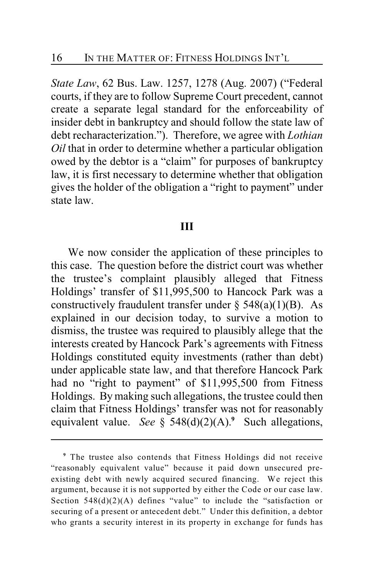*State Law*, 62 Bus. Law. 1257, 1278 (Aug. 2007) ("Federal courts, if they are to follow Supreme Court precedent, cannot create a separate legal standard for the enforceability of insider debt in bankruptcy and should follow the state law of debt recharacterization."). Therefore, we agree with *Lothian Oil* that in order to determine whether a particular obligation owed by the debtor is a "claim" for purposes of bankruptcy law, it is first necessary to determine whether that obligation gives the holder of the obligation a "right to payment" under state law.

#### **III**

We now consider the application of these principles to this case. The question before the district court was whether the trustee's complaint plausibly alleged that Fitness Holdings' transfer of \$11,995,500 to Hancock Park was a constructively fraudulent transfer under  $\S$  548(a)(1)(B). As explained in our decision today, to survive a motion to dismiss, the trustee was required to plausibly allege that the interests created by Hancock Park's agreements with Fitness Holdings constituted equity investments (rather than debt) under applicable state law, and that therefore Hancock Park had no "right to payment" of \$11,995,500 from Fitness Holdings. By making such allegations, the trustee could then claim that Fitness Holdings' transfer was not for reasonably equivalent value. See §  $548(d)(2)(A)$ .<sup>9</sup> Such allegations,

The trustee also contends that Fitness Holdings did not receive **<sup>9</sup>** "reasonably equivalent value" because it paid down unsecured preexisting debt with newly acquired secured financing. We reject this argument, because it is not supported by either the Code or our case law. Section  $548(d)(2)(A)$  defines "value" to include the "satisfaction or securing of a present or antecedent debt." Under this definition, a debtor who grants a security interest in its property in exchange for funds has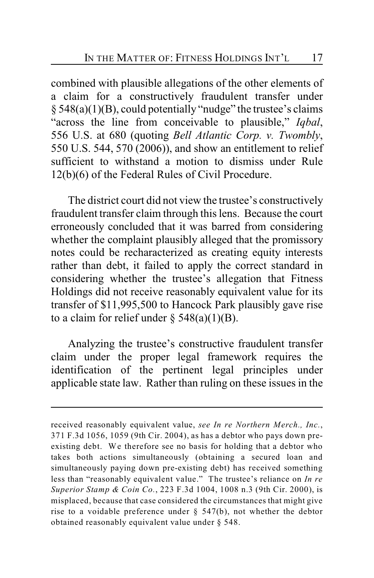combined with plausible allegations of the other elements of a claim for a constructively fraudulent transfer under  $§ 548(a)(1)(B)$ , could potentially "nudge" the trustee's claims "across the line from conceivable to plausible," *Iqbal*, 556 U.S. at 680 (quoting *Bell Atlantic Corp. v. Twombly*, 550 U.S. 544, 570 (2006)), and show an entitlement to relief sufficient to withstand a motion to dismiss under Rule 12(b)(6) of the Federal Rules of Civil Procedure.

The district court did not view the trustee's constructively fraudulent transfer claim through this lens. Because the court erroneously concluded that it was barred from considering whether the complaint plausibly alleged that the promissory notes could be recharacterized as creating equity interests rather than debt, it failed to apply the correct standard in considering whether the trustee's allegation that Fitness Holdings did not receive reasonably equivalent value for its transfer of \$11,995,500 to Hancock Park plausibly gave rise to a claim for relief under  $\S$  548(a)(1)(B).

Analyzing the trustee's constructive fraudulent transfer claim under the proper legal framework requires the identification of the pertinent legal principles under applicable state law. Rather than ruling on these issues in the

received reasonably equivalent value, *see In re Northern Merch., Inc.*, 371 F.3d 1056, 1059 (9th Cir. 2004), as has a debtor who pays down preexisting debt. We therefore see no basis for holding that a debtor who takes both actions simultaneously (obtaining a secured loan and simultaneously paying down pre-existing debt) has received something less than "reasonably equivalent value." The trustee's reliance on *In re Superior Stamp & Coin Co.*, 223 F.3d 1004, 1008 n.3 (9th Cir. 2000), is misplaced, because that case considered the circumstances that might give rise to a voidable preference under  $\S$  547(b), not whether the debtor obtained reasonably equivalent value under § 548.